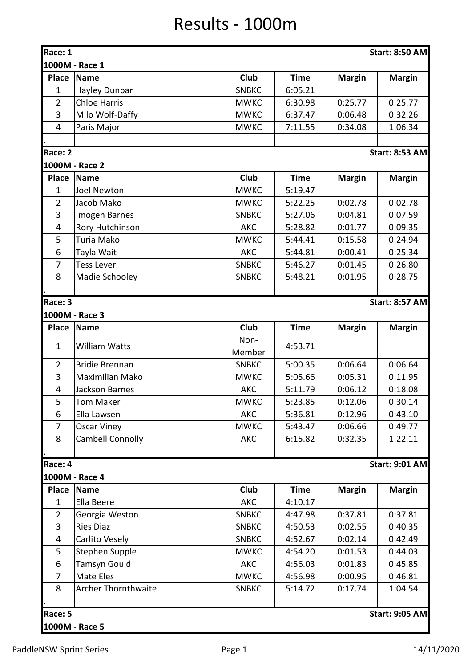## Results - 1000m

| Race: 1                          | <b>Start: 8:50 AM</b>   |              |             |               |                       |  |  |  |
|----------------------------------|-------------------------|--------------|-------------|---------------|-----------------------|--|--|--|
| 1000M - Race 1                   |                         |              |             |               |                       |  |  |  |
| <b>Place</b>                     | <b>Name</b>             | Club         | <b>Time</b> | <b>Margin</b> | <b>Margin</b>         |  |  |  |
| $\mathbf{1}$                     | Hayley Dunbar           | <b>SNBKC</b> | 6:05.21     |               |                       |  |  |  |
| $\overline{2}$                   | <b>Chloe Harris</b>     | <b>MWKC</b>  | 6:30.98     | 0:25.77       | 0:25.77               |  |  |  |
| 3                                | Milo Wolf-Daffy         | <b>MWKC</b>  | 6:37.47     | 0:06.48       | 0:32.26               |  |  |  |
| $\overline{4}$                   | Paris Major             | <b>MWKC</b>  | 7:11.55     | 0:34.08       | 1:06.34               |  |  |  |
|                                  |                         |              |             |               |                       |  |  |  |
| Race: 2                          |                         |              |             |               | <b>Start: 8:53 AM</b> |  |  |  |
|                                  | 1000M - Race 2          |              |             |               |                       |  |  |  |
| <b>Place</b>                     | <b>Name</b>             | Club         | <b>Time</b> | <b>Margin</b> | <b>Margin</b>         |  |  |  |
| $\mathbf{1}$                     | <b>Joel Newton</b>      | <b>MWKC</b>  | 5:19.47     |               |                       |  |  |  |
| $\overline{2}$                   | Jacob Mako              | <b>MWKC</b>  | 5:22.25     | 0:02.78       | 0:02.78               |  |  |  |
| 3                                | Imogen Barnes           | <b>SNBKC</b> | 5:27.06     | 0:04.81       | 0:07.59               |  |  |  |
| 4                                | Rory Hutchinson         | <b>AKC</b>   | 5:28.82     | 0:01.77       | 0:09.35               |  |  |  |
| 5                                | Turia Mako              | <b>MWKC</b>  | 5:44.41     | 0:15.58       | 0:24.94               |  |  |  |
| 6                                | Tayla Wait              | <b>AKC</b>   | 5:44.81     | 0:00.41       | 0:25.34               |  |  |  |
| 7                                | <b>Tess Lever</b>       | <b>SNBKC</b> | 5:46.27     | 0:01.45       | 0:26.80               |  |  |  |
| 8                                | Madie Schooley          | <b>SNBKC</b> | 5:48.21     | 0:01.95       | 0:28.75               |  |  |  |
|                                  |                         |              |             |               |                       |  |  |  |
| Race: 3                          |                         |              |             |               | <b>Start: 8:57 AM</b> |  |  |  |
|                                  | 1000M - Race 3          |              |             |               |                       |  |  |  |
| <b>Place</b>                     | Name                    | Club         | <b>Time</b> | <b>Margin</b> | <b>Margin</b>         |  |  |  |
|                                  |                         | Non-         |             |               |                       |  |  |  |
| $\mathbf{1}$                     | <b>William Watts</b>    | Member       | 4:53.71     |               |                       |  |  |  |
| $\overline{2}$                   | <b>Bridie Brennan</b>   | <b>SNBKC</b> | 5:00.35     | 0:06.64       | 0:06.64               |  |  |  |
| 3                                | <b>Maximilian Mako</b>  | <b>MWKC</b>  | 5:05.66     | 0:05.31       | 0:11.95               |  |  |  |
| 4                                | Jackson Barnes          | <b>AKC</b>   | 5:11.79     | 0:06.12       | 0:18.08               |  |  |  |
| 5                                | Tom Maker               | <b>MWKC</b>  | 5:23.85     | 0:12.06       | 0:30.14               |  |  |  |
| 6                                | Ella Lawsen             | AKC          | 5:36.81     | 0:12.96       | 0:43.10               |  |  |  |
| $\overline{7}$                   | <b>Oscar Viney</b>      | <b>MWKC</b>  | 5:43.47     | 0:06.66       | 0:49.77               |  |  |  |
| 8                                | <b>Cambell Connolly</b> | <b>AKC</b>   | 6:15.82     | 0:32.35       | 1:22.11               |  |  |  |
|                                  |                         |              |             |               |                       |  |  |  |
| Race: 4                          |                         |              |             |               | <b>Start: 9:01 AM</b> |  |  |  |
|                                  | 1000M - Race 4          |              |             |               |                       |  |  |  |
| <b>Place</b>                     | <b>Name</b>             | Club         | <b>Time</b> | <b>Margin</b> | <b>Margin</b>         |  |  |  |
| $\mathbf{1}$                     | Ella Beere              | AKC          | 4:10.17     |               |                       |  |  |  |
| $\overline{2}$                   | Georgia Weston          | <b>SNBKC</b> | 4:47.98     | 0:37.81       | 0:37.81               |  |  |  |
| 3                                | <b>Ries Diaz</b>        | <b>SNBKC</b> | 4:50.53     | 0:02.55       | 0:40.35               |  |  |  |
| 4                                | Carlito Vesely          | <b>SNBKC</b> | 4:52.67     | 0:02.14       | 0:42.49               |  |  |  |
| 5                                | Stephen Supple          | <b>MWKC</b>  | 4:54.20     | 0:01.53       | 0:44.03               |  |  |  |
| 6                                | Tamsyn Gould            | <b>AKC</b>   | 4:56.03     | 0:01.83       | 0:45.85               |  |  |  |
| 7                                | Mate Eles               | <b>MWKC</b>  | 4:56.98     | 0:00.95       | 0:46.81               |  |  |  |
| 8                                | Archer Thornthwaite     | <b>SNBKC</b> | 5:14.72     | 0:17.74       | 1:04.54               |  |  |  |
|                                  |                         |              |             |               |                       |  |  |  |
| Race: 5<br><b>Start: 9:05 AM</b> |                         |              |             |               |                       |  |  |  |
|                                  | 1000M - Race 5          |              |             |               |                       |  |  |  |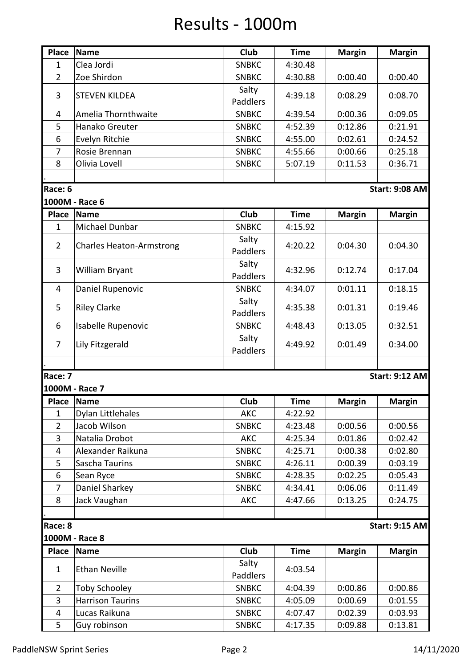## Results - 1000m

| <b>Place</b>   | <b>Name</b>                     | Club         | <b>Time</b> | <b>Margin</b> | <b>Margin</b>         |
|----------------|---------------------------------|--------------|-------------|---------------|-----------------------|
| $\mathbf{1}$   | Clea Jordi                      | <b>SNBKC</b> | 4:30.48     |               |                       |
| $\overline{2}$ | Zoe Shirdon                     | <b>SNBKC</b> | 4:30.88     | 0:00.40       | 0:00.40               |
| 3              | <b>STEVEN KILDEA</b>            | Salty        | 4:39.18     | 0:08.29       | 0:08.70               |
|                |                                 | Paddlers     |             |               |                       |
| 4              | Amelia Thornthwaite             | <b>SNBKC</b> | 4:39.54     | 0:00.36       | 0:09.05               |
| 5              | Hanako Greuter                  | <b>SNBKC</b> | 4:52.39     | 0:12.86       | 0:21.91               |
| 6              | Evelyn Ritchie                  | <b>SNBKC</b> | 4:55.00     | 0:02.61       | 0:24.52               |
| 7              | Rosie Brennan                   | <b>SNBKC</b> | 4:55.66     | 0:00.66       | 0:25.18               |
| 8              | Olivia Lovell                   | <b>SNBKC</b> | 5:07.19     | 0:11.53       | 0:36.71               |
|                |                                 |              |             |               |                       |
| Race: 6        |                                 |              |             |               | <b>Start: 9:08 AM</b> |
|                | 1000M - Race 6                  |              |             |               |                       |
| <b>Place</b>   | <b>Name</b>                     | <b>Club</b>  | <b>Time</b> | <b>Margin</b> | <b>Margin</b>         |
| $\mathbf{1}$   | Michael Dunbar                  | <b>SNBKC</b> | 4:15.92     |               |                       |
|                |                                 |              |             |               |                       |
| $\overline{2}$ | <b>Charles Heaton-Armstrong</b> | Salty        | 4:20.22     | 0:04.30       | 0:04.30               |
|                |                                 | Paddlers     |             |               |                       |
| 3              | William Bryant                  | Salty        | 4:32.96     | 0:12.74       | 0:17.04               |
|                |                                 | Paddlers     |             |               |                       |
| 4              | Daniel Rupenovic                | <b>SNBKC</b> | 4:34.07     | 0:01.11       | 0:18.15               |
| 5              | <b>Riley Clarke</b>             | Salty        | 4:35.38     | 0:01.31       | 0:19.46               |
|                |                                 | Paddlers     |             |               |                       |
| 6              | Isabelle Rupenovic              | <b>SNBKC</b> | 4:48.43     | 0:13.05       | 0:32.51               |
|                |                                 | Salty        |             |               |                       |
| 7              | Lily Fitzgerald                 | Paddlers     | 4:49.92     | 0:01.49       | 0:34.00               |
|                |                                 |              |             |               |                       |
| Race: 7        |                                 |              |             |               | <b>Start: 9:12 AM</b> |
|                | 1000M - Race 7                  |              |             |               |                       |
| <b>Place</b>   | <b>Name</b>                     | Club         | <b>Time</b> | <b>Margin</b> | <b>Margin</b>         |
| 1              | Dylan Littlehales               | AKC          | 4:22.92     |               |                       |
| $\overline{2}$ | Jacob Wilson                    | <b>SNBKC</b> | 4:23.48     | 0:00.56       | 0:00.56               |
| 3              | Natalia Drobot                  | AKC          | 4:25.34     | 0:01.86       | 0:02.42               |
| $\overline{4}$ | Alexander Raikuna               | <b>SNBKC</b> | 4:25.71     | 0:00.38       | 0:02.80               |
|                | Sascha Taurins                  | <b>SNBKC</b> |             |               |                       |
| 5              |                                 |              | 4:26.11     | 0:00.39       | 0:03.19               |
| 6              | Sean Ryce                       | <b>SNBKC</b> | 4:28.35     | 0:02.25       | 0:05.43               |
| $\overline{7}$ | Daniel Sharkey                  | <b>SNBKC</b> | 4:34.41     | 0:06.06       | 0:11.49               |
| 8              | Jack Vaughan                    | <b>AKC</b>   | 4:47.66     | 0:13.25       | 0:24.75               |
|                |                                 |              |             |               |                       |
| Race: 8        |                                 |              |             |               | <b>Start: 9:15 AM</b> |
|                | 1000M - Race 8                  |              |             |               |                       |
| <b>Place</b>   | <b>Name</b>                     | <b>Club</b>  | <b>Time</b> | <b>Margin</b> | <b>Margin</b>         |
| $\mathbf{1}$   | <b>Ethan Neville</b>            | Salty        |             |               |                       |
|                |                                 | Paddlers     | 4:03.54     |               |                       |
| $\overline{2}$ | <b>Toby Schooley</b>            | <b>SNBKC</b> | 4:04.39     | 0:00.86       | 0:00.86               |
| 3              | <b>Harrison Taurins</b>         | <b>SNBKC</b> | 4:05.09     | 0:00.69       | 0:01.55               |
| 4              | Lucas Raikuna                   | <b>SNBKC</b> | 4:07.47     | 0:02.39       | 0:03.93               |
| 5              | Guy robinson                    | <b>SNBKC</b> | 4:17.35     | 0:09.88       | 0:13.81               |